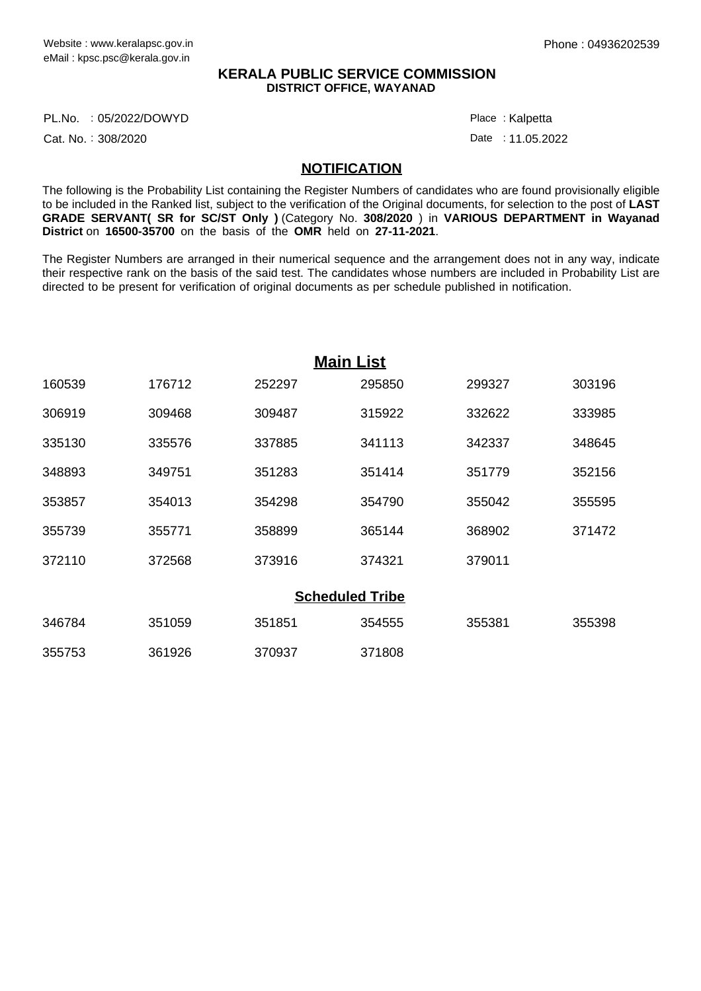## **KERALA PUBLIC SERVICE COMMISSION DISTRICT OFFICE, WAYANAD**

PL.No. :05/2022/DOWYD Particle in the control of the control of the control of the control of the control of the control of the control of the control of the control of the control of the control of the control of the cont

Cat. No.: 308/2020

: Kalpetta

Date: 11.05.2022

## **NOTIFICATION**

The following is the Probability List containing the Register Numbers of candidates who are found provisionally eligible to be included in the Ranked list, subject to the verification of the Original documents, for selection to the post of **LAST GRADE SERVANT( SR for SC/ST Only )** (Category No. **308/2020** ) in **VARIOUS DEPARTMENT in Wayanad District** on **16500-35700** on the basis of the **OMR** held on **27-11-2021**.

The Register Numbers are arranged in their numerical sequence and the arrangement does not in any way, indicate their respective rank on the basis of the said test. The candidates whose numbers are included in Probability List are directed to be present for verification of original documents as per schedule published in notification.

|        |        |        | <b>Main List</b>       |        |        |
|--------|--------|--------|------------------------|--------|--------|
| 160539 | 176712 | 252297 | 295850                 | 299327 | 303196 |
| 306919 | 309468 | 309487 | 315922                 | 332622 | 333985 |
| 335130 | 335576 | 337885 | 341113                 | 342337 | 348645 |
| 348893 | 349751 | 351283 | 351414                 | 351779 | 352156 |
| 353857 | 354013 | 354298 | 354790                 | 355042 | 355595 |
| 355739 | 355771 | 358899 | 365144                 | 368902 | 371472 |
| 372110 | 372568 | 373916 | 374321                 | 379011 |        |
|        |        |        | <b>Scheduled Tribe</b> |        |        |
| 346784 | 351059 | 351851 | 354555                 | 355381 | 355398 |
| 355753 | 361926 | 370937 | 371808                 |        |        |